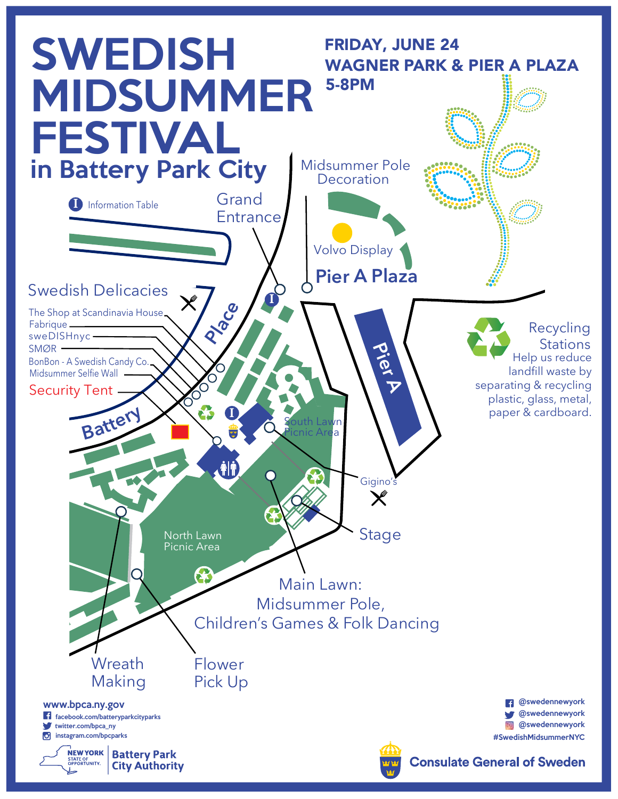